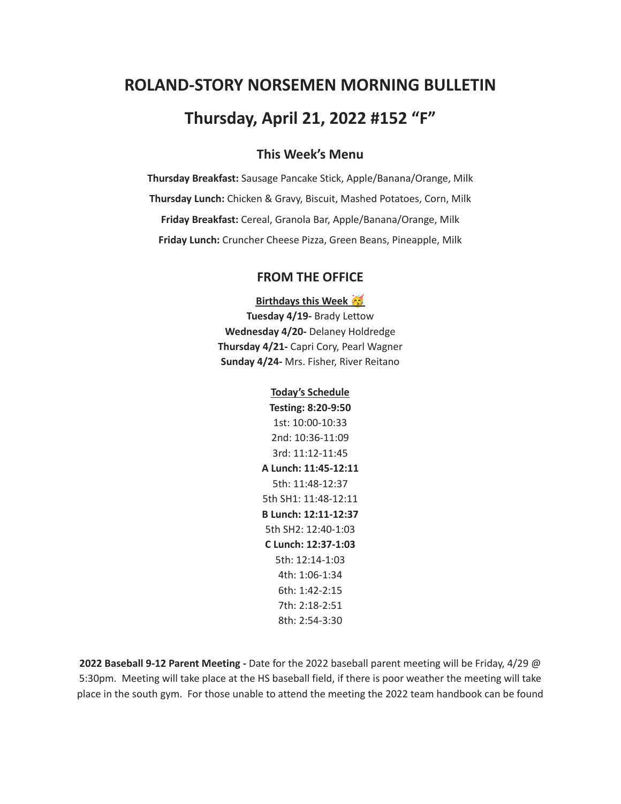# **ROLAND-STORY NORSEMEN MORNING BULLETIN Thursday, April 21, 2022 #152 "F"**

# **This Week's Menu**

**Thursday Breakfast:** Sausage Pancake Stick, Apple/Banana/Orange, Milk **Thursday Lunch:** Chicken & Gravy, Biscuit, Mashed Potatoes, Corn, Milk **Friday Breakfast:** Cereal, Granola Bar, Apple/Banana/Orange, Milk **Friday Lunch:** Cruncher Cheese Pizza, Green Beans, Pineapple, Milk

## **FROM THE OFFICE**

**Birthdays this Week**

**Tuesday 4/19-** Brady Lettow **Wednesday 4/20-** Delaney Holdredge **Thursday 4/21-** Capri Cory, Pearl Wagner **Sunday 4/24-** Mrs. Fisher, River Reitano

#### **Today's Schedule**

**Testing: 8:20-9:50** 1st: 10:00-10:33 2nd: 10:36-11:09 3rd: 11:12-11:45 **A Lunch: 11:45-12:11** 5th: 11:48-12:37 5th SH1: 11:48-12:11 **B Lunch: 12:11-12:37** 5th SH2: 12:40-1:03 **C Lunch: 12:37-1:03** 5th: 12:14-1:03 4th: 1:06-1:34 6th: 1:42-2:15 7th: 2:18-2:51 8th: 2:54-3:30

**2022 Baseball 9-12 Parent Meeting -** Date for the 2022 baseball parent meeting will be Friday, 4/29 @ 5:30pm. Meeting will take place at the HS baseball field, if there is poor weather the meeting will take place in the south gym. For those unable to attend the meeting the 2022 team handbook can be found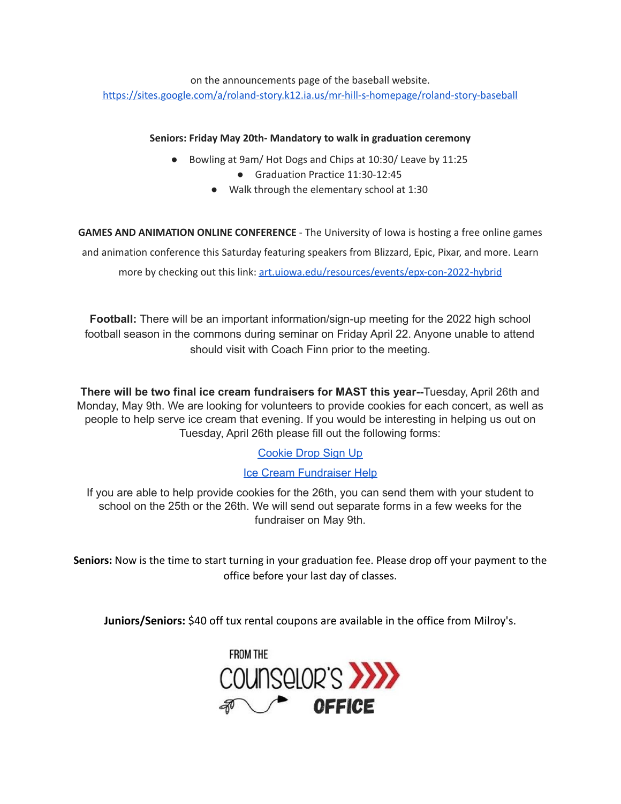on the announcements page of the baseball website. <https://sites.google.com/a/roland-story.k12.ia.us/mr-hill-s-homepage/roland-story-baseball>

## **Seniors: Friday May 20th- Mandatory to walk in graduation ceremony**

- Bowling at 9am/ Hot Dogs and Chips at 10:30/ Leave by 11:25
	- Graduation Practice 11:30-12:45
	- Walk through the elementary school at 1:30

**GAMES AND ANIMATION ONLINE CONFERENCE** - The University of Iowa is hosting a free online games and animation conference this Saturday featuring speakers from Blizzard, Epic, Pixar, and more. Learn more by checking out this link: [art.uiowa.edu/resources/events/epx-con-2022-hybrid](http://art.uiowa.edu/resources/events/epx-con-2022-hybrid)

**Football:** There will be an important information/sign-up meeting for the 2022 high school football season in the commons during seminar on Friday April 22. Anyone unable to attend should visit with Coach Finn prior to the meeting.

**There will be two final ice cream fundraisers for MAST this year--**Tuesday, April 26th and Monday, May 9th. We are looking for volunteers to provide cookies for each concert, as well as people to help serve ice cream that evening. If you would be interesting in helping us out on Tuesday, April 26th please fill out the following forms:

# [Cookie](https://www.signupgenius.com/go/4090c45acac2ba31-rsmast2) Drop Sign Up

# Ice Cream [Fundraiser](https://www.signupgenius.com/go/4090c45acac2ba31-rsmast3) Help

If you are able to help provide cookies for the 26th, you can send them with your student to school on the 25th or the 26th. We will send out separate forms in a few weeks for the fundraiser on May 9th.

**Seniors:** Now is the time to start turning in your graduation fee. Please drop off your payment to the office before your last day of classes.

**Juniors/Seniors:** \$40 off tux rental coupons are available in the office from Milroy's.

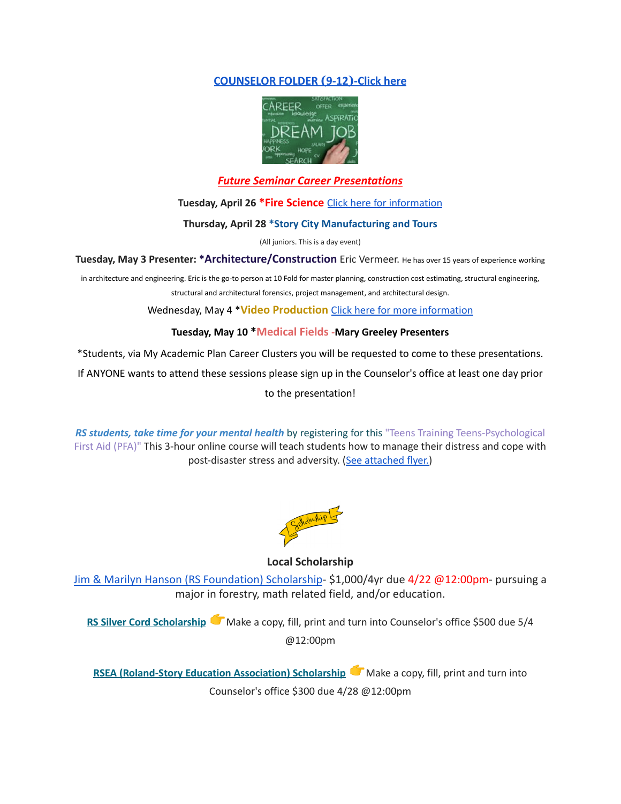## **[COUNSELOR FOLDER](https://docs.google.com/document/d/1vmwczNPbDzXe9vFaG5LJMQ7NYDv-i4oQJHybqA65TUc/edit?usp=sharing) (9-12)-Click here**



## *Future Seminar Career Presentations*

**Tuesday, April 26 \*Fire Science** Click here for [information](https://www.dmacc.edu/programs/fire/Pages/welcome.aspx)

#### **Thursday, April 28 \*Story City Manufacturing and Tours**

(All juniors. This is a day event)

**Tuesday, May 3 Presenter: \*Architecture/Construction** Eric Vermeer. He has over <sup>15</sup> years of experience working

in architecture and engineering. Eric is the go-to person at 10 Fold for master planning, construction cost estimating, structural engineering, structural and architectural forensics, project management, and architectural design.

Wednesday, May 4 \***Video Production** Click here for more [information](https://www.dmacc.edu/programs/video/Pages/welcome.aspx)

#### **Tuesday, May 10 \*Medical Fields -Mary Greeley Presenters**

\*Students, via My Academic Plan Career Clusters you will be requested to come to these presentations.

If ANYONE wants to attend these sessions please sign up in the Counselor's office at least one day prior

to the presentation!

*RS students, take time for your mental health* by registering for this "Teens Training Teens-Psychological First Aid (PFA)" This 3-hour online course will teach students how to manage their distress and cope with post-disaster stress and adversity. (See [attached](https://drive.google.com/file/d/18ZxsDgb9mTVccDP5AD1ejwqoEi1MNUwE/view?usp=sharing) flyer.)



#### **Local Scholarship**

[Jim & Marilyn Hanson \(RS Foundation\) Scholarship](https://docs.google.com/document/d/1ZTlh8dBWKYLTE2ZXAX8cFE_071yzMHCiRBXRqeR_Sv8/edit?usp=sharing)- \$1,000/4yr due 4/22 @12:00pm- pursuing a major in forestry, math related field, and/or education.

**RS Silver Cord [Scholarship](https://docs.google.com/document/d/12og0k5MTIc1OeFEzEig2sJZbI5ykSKtMlEJRu1iKhdA/edit?usp=sharing)** Make a copy, fill, print and turn into Counselor's office \$500 due 5/4 @12:00pm

**RSEA [\(Roland-Story](https://docs.google.com/document/d/1YwFGXKN4fBAFzL5lRATvKspYv1CbagujvEZKrQq0Kcg/edit?usp=sharing) Education Association) Scholarship** Make a copy, fill, print and turn into Counselor's office \$300 due 4/28 @12:00pm